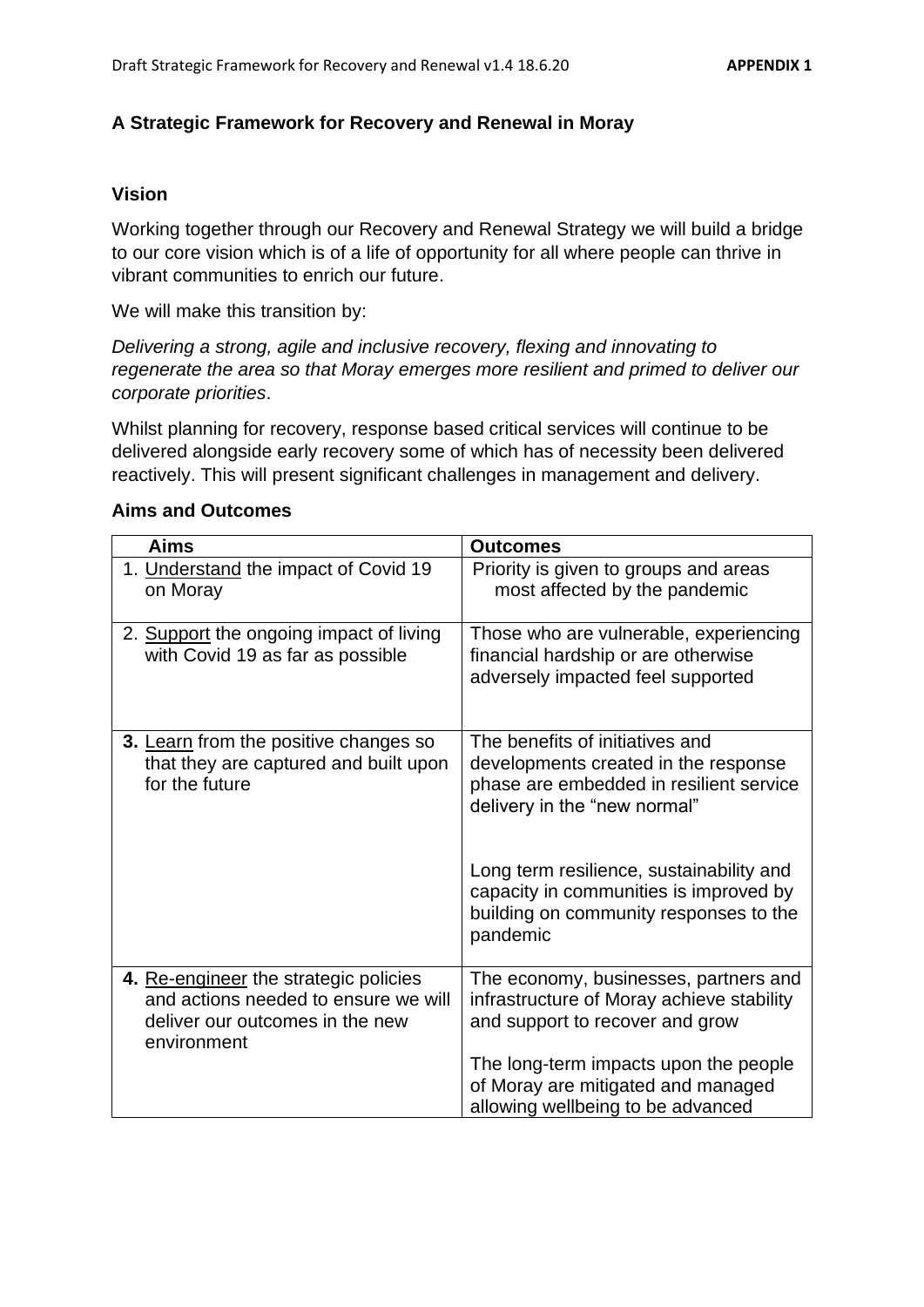## **A Strategic Framework for Recovery and Renewal in Moray**

### **Vision**

Working together through our Recovery and Renewal Strategy we will build a bridge to our core vision which is of a life of opportunity for all where people can thrive in vibrant communities to enrich our future.

We will make this transition by:

*Delivering a strong, agile and inclusive recovery, flexing and innovating to regenerate the area so that Moray emerges more resilient and primed to deliver our corporate priorities*.

Whilst planning for recovery, response based critical services will continue to be delivered alongside early recovery some of which has of necessity been delivered reactively. This will present significant challenges in management and delivery.

| <b>Aims</b>                                                                                                                     | <b>Outcomes</b>                                                                                                                                                                                |
|---------------------------------------------------------------------------------------------------------------------------------|------------------------------------------------------------------------------------------------------------------------------------------------------------------------------------------------|
| 1. Understand the impact of Covid 19<br>on Moray                                                                                | Priority is given to groups and areas<br>most affected by the pandemic                                                                                                                         |
| 2. Support the ongoing impact of living<br>with Covid 19 as far as possible                                                     | Those who are vulnerable, experiencing<br>financial hardship or are otherwise<br>adversely impacted feel supported                                                                             |
| 3. Learn from the positive changes so<br>that they are captured and built upon<br>for the future                                | The benefits of initiatives and<br>developments created in the response<br>phase are embedded in resilient service<br>delivery in the "new normal"<br>Long term resilience, sustainability and |
|                                                                                                                                 | capacity in communities is improved by<br>building on community responses to the<br>pandemic                                                                                                   |
| 4. Re-engineer the strategic policies<br>and actions needed to ensure we will<br>deliver our outcomes in the new<br>environment | The economy, businesses, partners and<br>infrastructure of Moray achieve stability<br>and support to recover and grow                                                                          |
|                                                                                                                                 | The long-term impacts upon the people<br>of Moray are mitigated and managed<br>allowing wellbeing to be advanced                                                                               |

#### **Aims and Outcomes**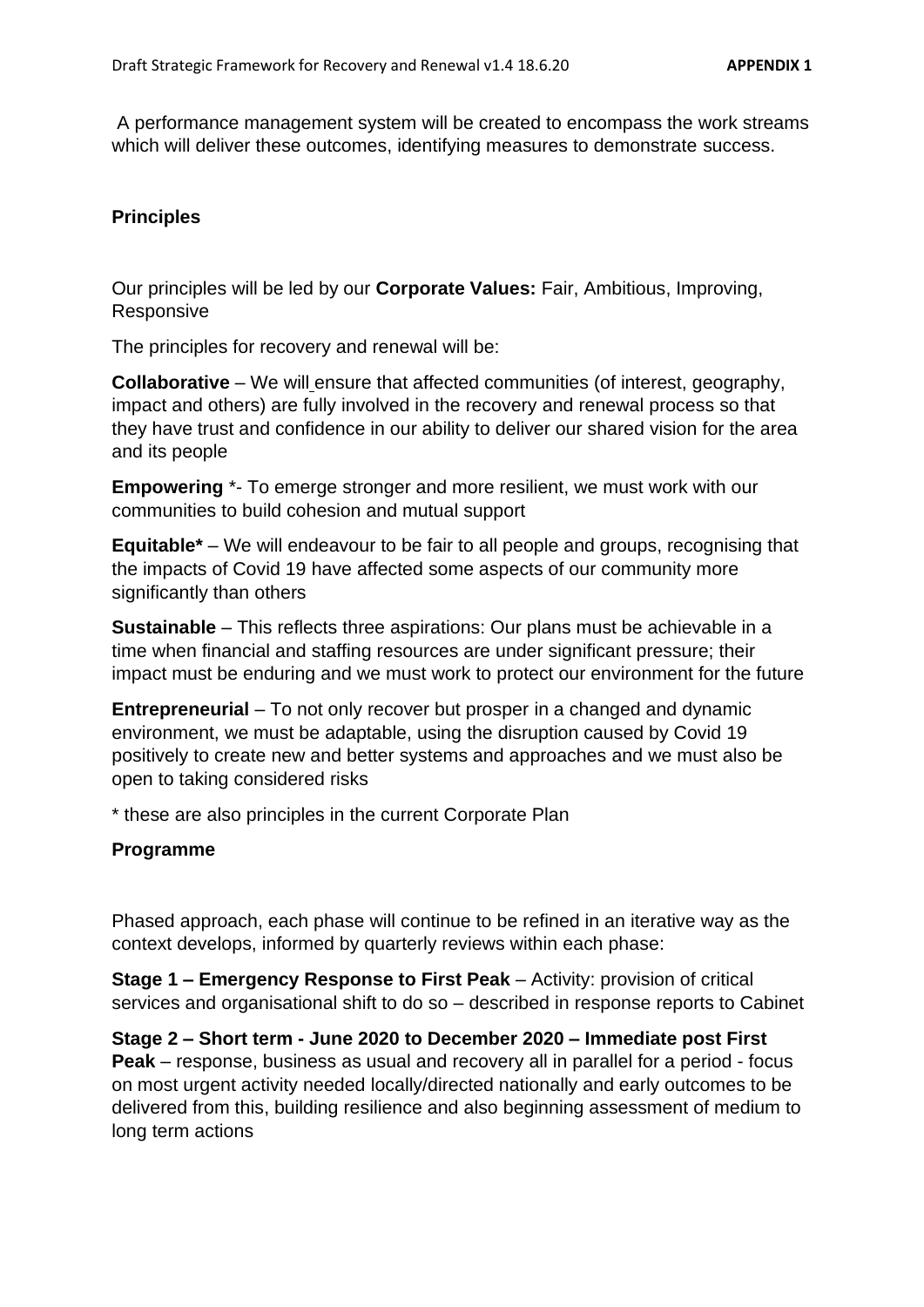A performance management system will be created to encompass the work streams which will deliver these outcomes, identifying measures to demonstrate success.

## **Principles**

Our principles will be led by our **Corporate Values:** Fair, Ambitious, Improving, Responsive

The principles for recovery and renewal will be:

**Collaborative** – We will ensure that affected communities (of interest, geography, impact and others) are fully involved in the recovery and renewal process so that they have trust and confidence in our ability to deliver our shared vision for the area and its people

**Empowering** \*- To emerge stronger and more resilient, we must work with our communities to build cohesion and mutual support

**Equitable\*** – We will endeavour to be fair to all people and groups, recognising that the impacts of Covid 19 have affected some aspects of our community more significantly than others

**Sustainable** – This reflects three aspirations: Our plans must be achievable in a time when financial and staffing resources are under significant pressure; their impact must be enduring and we must work to protect our environment for the future

**Entrepreneurial** – To not only recover but prosper in a changed and dynamic environment, we must be adaptable, using the disruption caused by Covid 19 positively to create new and better systems and approaches and we must also be open to taking considered risks

\* these are also principles in the current Corporate Plan

### **Programme**

Phased approach, each phase will continue to be refined in an iterative way as the context develops, informed by quarterly reviews within each phase:

**Stage 1 – Emergency Response to First Peak** – Activity: provision of critical services and organisational shift to do so – described in response reports to Cabinet

**Stage 2 – Short term - June 2020 to December 2020 – Immediate post First Peak** – response, business as usual and recovery all in parallel for a period - focus on most urgent activity needed locally/directed nationally and early outcomes to be delivered from this, building resilience and also beginning assessment of medium to long term actions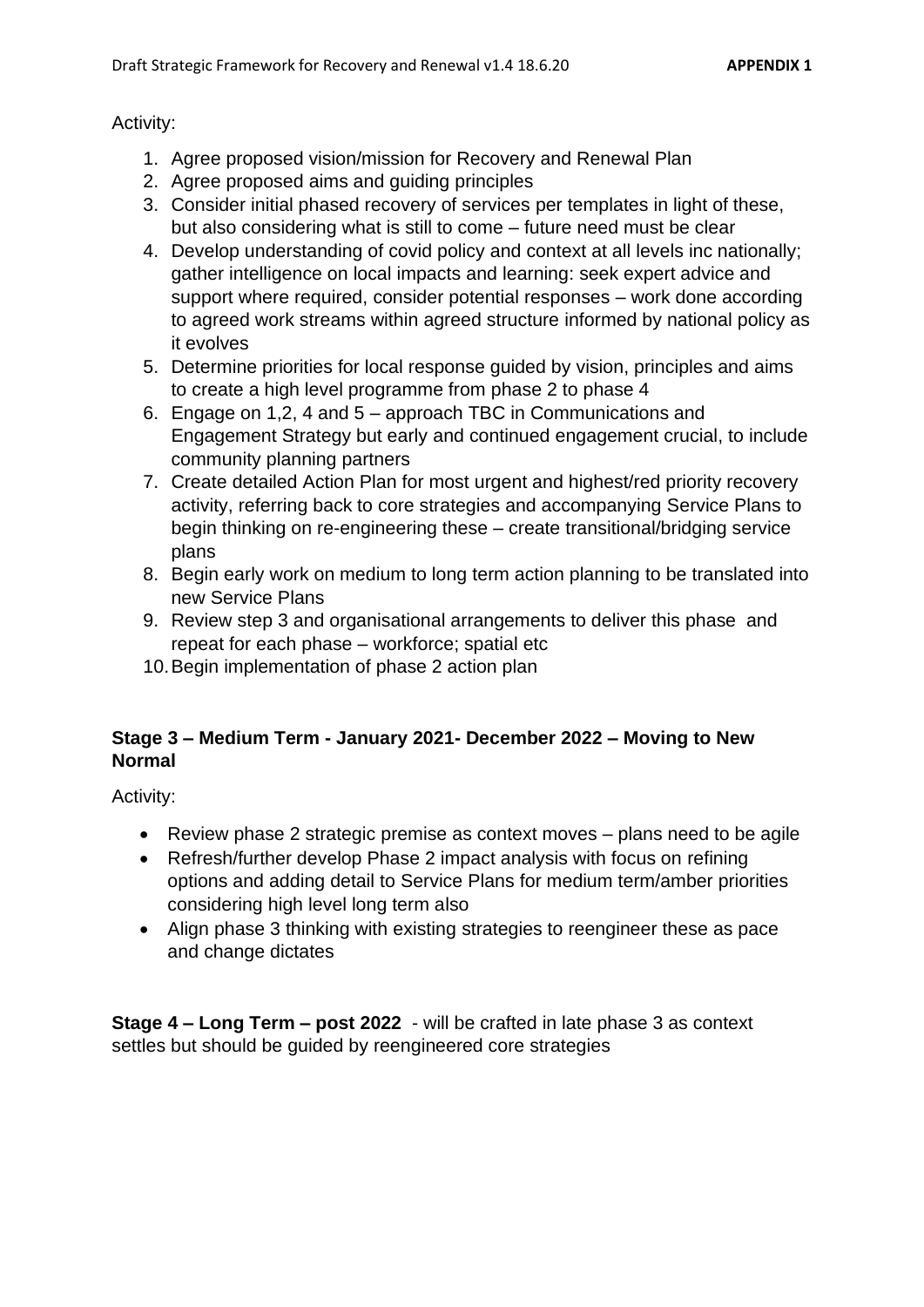## Activity:

- 1. Agree proposed vision/mission for Recovery and Renewal Plan
- 2. Agree proposed aims and guiding principles
- 3. Consider initial phased recovery of services per templates in light of these, but also considering what is still to come – future need must be clear
- 4. Develop understanding of covid policy and context at all levels inc nationally; gather intelligence on local impacts and learning: seek expert advice and support where required, consider potential responses – work done according to agreed work streams within agreed structure informed by national policy as it evolves
- 5. Determine priorities for local response guided by vision, principles and aims to create a high level programme from phase 2 to phase 4
- 6. Engage on 1,2, 4 and 5 approach TBC in Communications and Engagement Strategy but early and continued engagement crucial, to include community planning partners
- 7. Create detailed Action Plan for most urgent and highest/red priority recovery activity, referring back to core strategies and accompanying Service Plans to begin thinking on re-engineering these – create transitional/bridging service plans
- 8. Begin early work on medium to long term action planning to be translated into new Service Plans
- 9. Review step 3 and organisational arrangements to deliver this phase and repeat for each phase – workforce; spatial etc
- 10.Begin implementation of phase 2 action plan

# **Stage 3 – Medium Term - January 2021- December 2022 – Moving to New Normal**

Activity:

- Review phase 2 strategic premise as context moves plans need to be agile
- Refresh/further develop Phase 2 impact analysis with focus on refining options and adding detail to Service Plans for medium term/amber priorities considering high level long term also
- Align phase 3 thinking with existing strategies to reengineer these as pace and change dictates

**Stage 4 – Long Term – post 2022** - will be crafted in late phase 3 as context settles but should be guided by reengineered core strategies